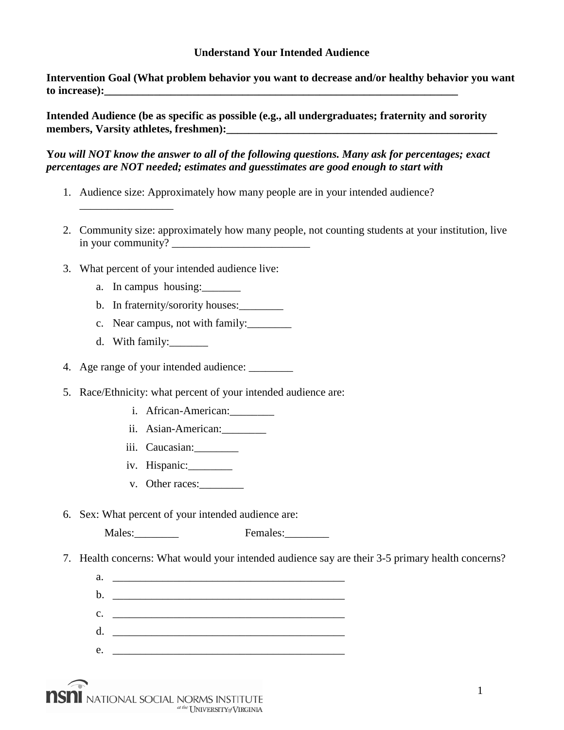## **Understand Your Intended Audience**

**Intervention Goal (What problem behavior you want to decrease and/or healthy behavior you want**  to increase):

**Intended Audience (be as specific as possible (e.g., all undergraduates; fraternity and sorority**  members, Varsity athletes, freshmen): **with a set of the set of the set of the set of the set of the set of the set of the set of the set of the set of the set of the set of the set of the set of the set of the set of the** 

**Y***ou will NOT know the answer to all of the following questions. Many ask for percentages; exact percentages are NOT needed; estimates and guesstimates are good enough to start with*

- 1. Audience size: Approximately how many people are in your intended audience?
- 2. Community size: approximately how many people, not counting students at your institution, live in your community? \_\_\_\_\_\_\_\_\_\_\_\_\_\_\_\_\_\_\_\_\_\_\_\_\_
- 3. What percent of your intended audience live:
	- a. In campus housing:
	- b. In fraternity/sorority houses:
	- c. Near campus, not with family:\_\_\_\_\_\_\_\_
	- d. With family:\_\_\_\_\_\_\_\_

\_\_\_\_\_\_\_\_\_\_\_\_\_\_\_\_\_

- 4. Age range of your intended audience:
- 5. Race/Ethnicity: what percent of your intended audience are:
	- i. African-American:
	- ii. Asian-American:
	- iii. Caucasian:
	- iv. Hispanic:
	- v. Other races:
- 6. Sex: What percent of your intended audience are:

Males: Females:

- 7. Health concerns: What would your intended audience say are their 3-5 primary health concerns?
	- a. \_\_\_\_\_\_\_\_\_\_\_\_\_\_\_\_\_\_\_\_\_\_\_\_\_\_\_\_\_\_\_\_\_\_\_\_\_\_\_\_\_\_ b. \_\_\_\_\_\_\_\_\_\_\_\_\_\_\_\_\_\_\_\_\_\_\_\_\_\_\_\_\_\_\_\_\_\_\_\_\_\_\_\_\_\_  $c.$   $\qquad \qquad$ d. \_\_\_\_\_\_\_\_\_\_\_\_\_\_\_\_\_\_\_\_\_\_\_\_\_\_\_\_\_\_\_\_\_\_\_\_\_\_\_\_\_\_  $e.$